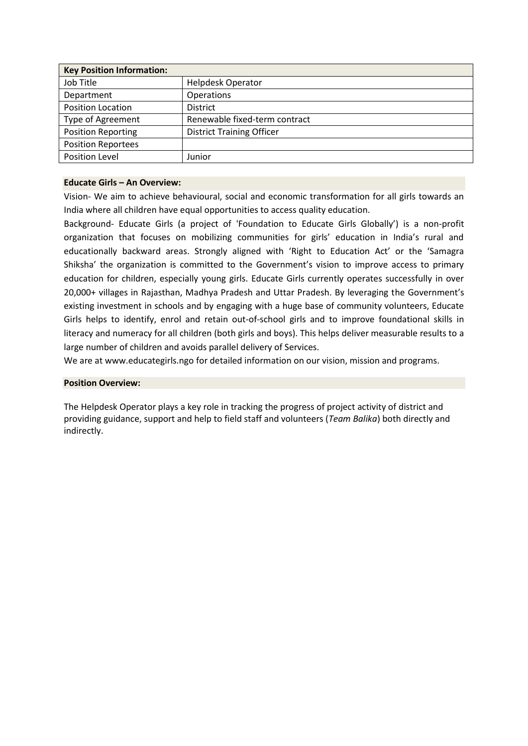| <b>Key Position Information:</b> |                                  |
|----------------------------------|----------------------------------|
| Job Title                        | <b>Helpdesk Operator</b>         |
| Department                       | Operations                       |
| Position Location                | <b>District</b>                  |
| Type of Agreement                | Renewable fixed-term contract    |
| <b>Position Reporting</b>        | <b>District Training Officer</b> |
| <b>Position Reportees</b>        |                                  |
| <b>Position Level</b>            | Junior                           |

# **Educate Girls – An Overview:**

Vision- We aim to achieve behavioural, social and economic transformation for all girls towards an India where all children have equal opportunities to access quality education.

Background- Educate Girls (a project of 'Foundation to Educate Girls Globally') is a non-profit organization that focuses on mobilizing communities for girls' education in India's rural and educationally backward areas. Strongly aligned with 'Right to Education Act' or the 'Samagra Shiksha' the organization is committed to the Government's vision to improve access to primary education for children, especially young girls. Educate Girls currently operates successfully in over 20,000+ villages in Rajasthan, Madhya Pradesh and Uttar Pradesh. By leveraging the Government's existing investment in schools and by engaging with a huge base of community volunteers, Educate Girls helps to identify, enrol and retain out-of-school girls and to improve foundational skills in literacy and numeracy for all children (both girls and boys). This helps deliver measurable results to a large number of children and avoids parallel delivery of Services.

We are at www.educategirls.ngo for detailed information on our vision, mission and programs.

## **Position Overview:**

The Helpdesk Operator plays a key role in tracking the progress of project activity of district and providing guidance, support and help to field staff and volunteers (*Team Balika*) both directly and indirectly.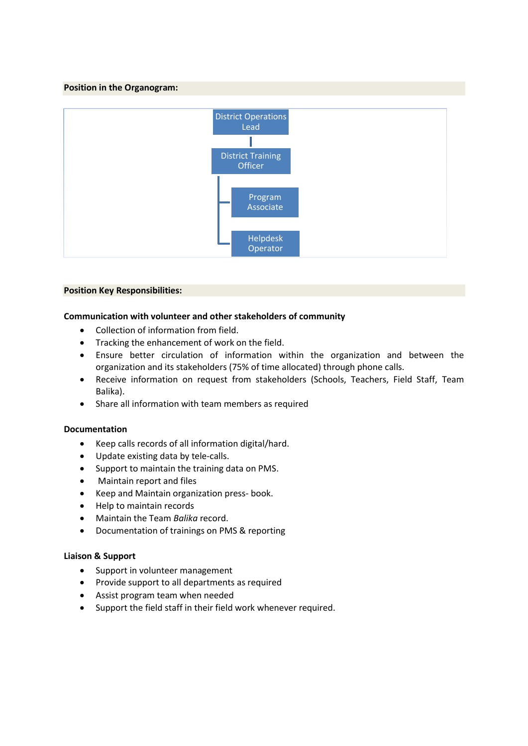# **Position in the Organogram:**



#### **Position Key Responsibilities:**

## **Communication with volunteer and other stakeholders of community**

- Collection of information from field.
- Tracking the enhancement of work on the field.
- Ensure better circulation of information within the organization and between the organization and its stakeholders (75% of time allocated) through phone calls.
- Receive information on request from stakeholders (Schools, Teachers, Field Staff, Team Balika).
- Share all information with team members as required

## **Documentation**

- Keep calls records of all information digital/hard.
- Update existing data by tele-calls.
- Support to maintain the training data on PMS.
- Maintain report and files
- Keep and Maintain organization press- book.
- Help to maintain records
- Maintain the Team *Balika* record.
- Documentation of trainings on PMS & reporting

## **Liaison & Support**

- Support in volunteer management
- Provide support to all departments as required
- Assist program team when needed
- Support the field staff in their field work whenever required.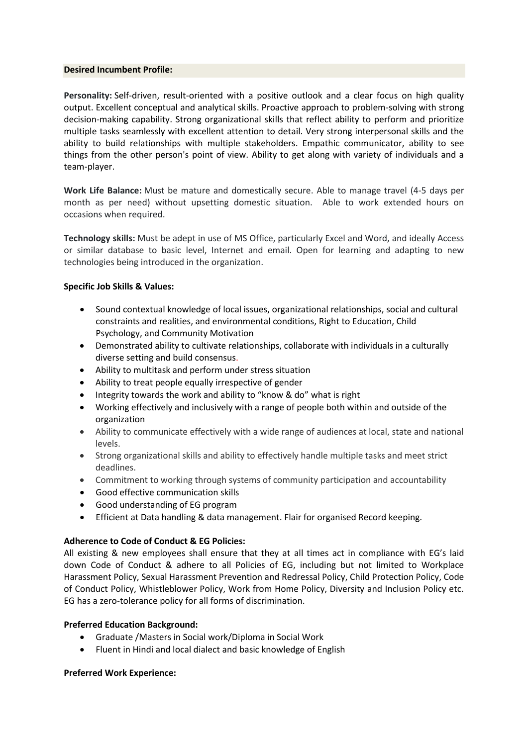#### **Desired Incumbent Profile:**

**Personality:** Self-driven, result-oriented with a positive outlook and a clear focus on high quality output. Excellent conceptual and analytical skills. Proactive approach to problem-solving with strong decision-making capability. Strong organizational skills that reflect ability to perform and prioritize multiple tasks seamlessly with excellent attention to detail. Very strong interpersonal skills and the ability to build relationships with multiple stakeholders. Empathic communicator, ability to see things from the other person's point of view. Ability to get along with variety of individuals and a team-player.

**Work Life Balance:** Must be mature and domestically secure. Able to manage travel (4-5 days per month as per need) without upsetting domestic situation. Able to work extended hours on occasions when required.

**Technology skills:** Must be adept in use of MS Office, particularly Excel and Word, and ideally Access or similar database to basic level, Internet and email. Open for learning and adapting to new technologies being introduced in the organization.

## **Specific Job Skills & Values:**

- Sound contextual knowledge of local issues, organizational relationships, social and cultural constraints and realities, and environmental conditions, Right to Education, Child Psychology, and Community Motivation
- Demonstrated ability to cultivate relationships, collaborate with individuals in a culturally diverse setting and build consensus.
- Ability to multitask and perform under stress situation
- Ability to treat people equally irrespective of gender
- Integrity towards the work and ability to "know & do" what is right
- Working effectively and inclusively with a range of people both within and outside of the organization
- Ability to communicate effectively with a wide range of audiences at local, state and national levels.
- Strong organizational skills and ability to effectively handle multiple tasks and meet strict deadlines.
- Commitment to working through systems of community participation and accountability
- Good effective communication skills
- Good understanding of EG program
- Efficient at Data handling & data management. Flair for organised Record keeping.

## **Adherence to Code of Conduct & EG Policies:**

All existing & new employees shall ensure that they at all times act in compliance with EG's laid down Code of Conduct & adhere to all Policies of EG, including but not limited to Workplace Harassment Policy, Sexual Harassment Prevention and Redressal Policy, Child Protection Policy, Code of Conduct Policy, Whistleblower Policy, Work from Home Policy, Diversity and Inclusion Policy etc. EG has a zero-tolerance policy for all forms of discrimination.

## **Preferred Education Background:**

- Graduate /Masters in Social work/Diploma in Social Work
- Fluent in Hindi and local dialect and basic knowledge of English

## **Preferred Work Experience:**